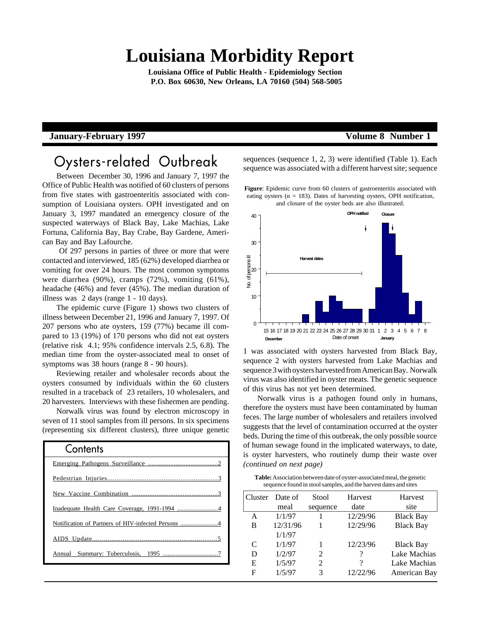# **Louisiana Morbidity Report**

**Louisiana Office of Public Health - Epidemiology Section P.O. Box 60630, New Orleans, LA 70160 (504) 568-5005**

### **January-February 1997 Volume 8 Number 1**

# Oysters-related Outbreak

Between December 30, 1996 and January 7, 1997 the Office of Public Health was notified of 60 clusters of persons from five states with gastroenteritis associated with consumption of Louisiana oysters. OPH investigated and on January 3, 1997 mandated an emergency closure of the suspected waterways of Black Bay, Lake Machias, Lake Fortuna, California Bay, Bay Crabe, Bay Gardene, American Bay and Bay Lafourche.

 Of 297 persons in parties of three or more that were contacted and interviewed, 185 (62%) developed diarrhea or vomiting for over 24 hours. The most common symptoms were diarrhea (90%), cramps (72%), vomiting (61%), headache (46%) and fever (45%). The median duration of illness was 2 days (range 1 - 10 days).

The epidemic curve (Figure 1) shows two clusters of illness between December 21, 1996 and January 7, 1997. Of 207 persons who ate oysters, 159 (77%) became ill compared to 13 (19%) of 170 persons who did not eat oysters (relative risk 4.1; 95% confidence intervals 2.5, 6.8). The median time from the oyster-associated meal to onset of symptoms was 38 hours (range 8 - 90 hours).

Reviewing retailer and wholesaler records about the oysters consumed by individuals within the 60 clusters resulted in a traceback of 23 retailers, 10 wholesalers, and 20 harvesters. Interviews with these fishermen are pending.

Norwalk virus was found by electron microscopy in seven of 11 stool samples from ill persons. In six specimens (representing six different clusters), three unique genetic

| Contents |
|----------|
|          |
|          |
|          |
|          |
|          |
|          |
|          |
|          |

sequences (sequence 1, 2, 3) were identified (Table 1). Each sequence was associated with a different harvest site; sequence

**Figure**: Epidemic curve from 60 clusters of gastroenteritis associated with eating oysters ( $n = 183$ ). Dates of harvesting oysters, OPH notification, and closure of the oyster beds are also illustrated.



1 was associated with oysters harvested from Black Bay, sequence 2 with oysters harvested from Lake Machias and sequence 3 with oysters harvested from American Bay. Norwalk virus was also identified in oyster meats. The genetic sequence of this virus has not yet been determined.

Norwalk virus is a pathogen found only in humans, therefore the oysters must have been contaminated by human feces. The large number of wholesalers and retailers involved suggests that the level of contamination occurred at the oyster beds. During the time of this outbreak, the only possible source of human sewage found in the implicated waterways, to date, is oyster harvesters, who routinely dump their waste over *(continued on next page)*

**Table:** Association between date of oyster-associated meal, the genetic sequence found in stool samples, and the harvest dates and sites

| Cluster | Date of<br>meal | Stool<br>sequence | Harvest<br>date | Harvest<br>site  |
|---------|-----------------|-------------------|-----------------|------------------|
| A       | 1/1/97          |                   | 12/29/96        | <b>Black Bay</b> |
| в       | 12/31/96        |                   | 12/29/96        | <b>Black Bay</b> |
|         | 1/1/97          |                   |                 |                  |
| C       | 1/1/97          |                   | 12/23/96        | <b>Black Bay</b> |
| D       | 1/2/97          | $\mathcal{L}$     | ?               | Lake Machias     |
| E       | 1/5/97          | $\overline{c}$    | ?               | Lake Machias     |
| F       | 1/5/97          | 3                 | 12/22/96        | American Bay     |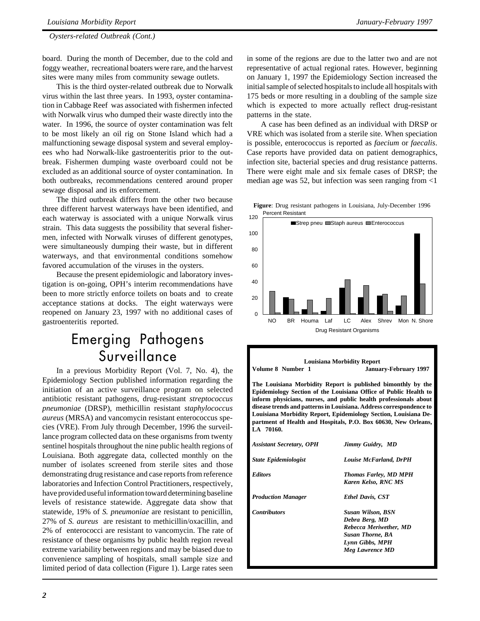*Oysters-related Outbreak (Cont.)*

board. During the month of December, due to the cold and foggy weather, recreational boaters were rare, and the harvest sites were many miles from community sewage outlets.

This is the third oyster-related outbreak due to Norwalk virus within the last three years. In 1993, oyster contamination in Cabbage Reef was associated with fishermen infected with Norwalk virus who dumped their waste directly into the water. In 1996, the source of oyster contamination was felt to be most likely an oil rig on Stone Island which had a malfunctioning sewage disposal system and several employees who had Norwalk-like gastroenteritis prior to the outbreak. Fishermen dumping waste overboard could not be excluded as an additional source of oyster contamination. In both outbreaks, recommendations centered around proper sewage disposal and its enforcement.

The third outbreak differs from the other two because three different harvest waterways have been identified, and each waterway is associated with a unique Norwalk virus strain. This data suggests the possibility that several fishermen, infected with Norwalk viruses of different genotypes, were simultaneously dumping their waste, but in different waterways, and that environmental conditions somehow favored accumulation of the viruses in the oysters.

Because the present epidemiologic and laboratory investigation is on-going, OPH's interim recommendations have been to more strictly enforce toilets on boats and to create acceptance stations at docks. The eight waterways were reopened on January 23, 1997 with no additional cases of gastroenteritis reported.

# Emerging Pathogens **Surveillance**

In a previous Morbidity Report (Vol. 7, No. 4), the Epidemiology Section published information regarding the initiation of an active surveillance program on selected antibiotic resistant pathogens, drug-resistant *streptococcus pneumoniae* (DRSP), methicillin resistant *staphylococcus aureus* (MRSA) and vancomycin resistant enterococcus species (VRE). From July through December, 1996 the surveillance program collected data on these organisms from twenty sentinel hospitals throughout the nine public health regions of Louisiana. Both aggregate data, collected monthly on the number of isolates screened from sterile sites and those demonstrating drug resistance and case reports from reference laboratories and Infection Control Practitioners, respectively, have provided useful information toward determining baseline levels of resistance statewide. Aggregate data show that statewide, 19% of *S. pneumoniae* are resistant to penicillin, 27% of *S. aureus* are resistant to methicillin/oxacillin, and 2% of enterococci are resistant to vancomycin. The rate of resistance of these organisms by public health region reveal extreme variability between regions and may be biased due to convenience sampling of hospitals, small sample size and limited period of data collection (Figure 1). Large rates seen in some of the regions are due to the latter two and are not representative of actual regional rates. However, beginning on January 1, 1997 the Epidemiology Section increased the initial sample of selected hospitals to include all hospitals with 175 beds or more resulting in a doubling of the sample size which is expected to more actually reflect drug-resistant patterns in the state.

A case has been defined as an individual with DRSP or VRE which was isolated from a sterile site. When speciation is possible, enterococcus is reported as *faecium* or *faecalis*. Case reports have provided data on patient demographics, infection site, bacterial species and drug resistance patterns. There were eight male and six female cases of DRSP; the median age was 52, but infection was seen ranging from <1

Percent Resistant **Figure**: Drug resistant pathogens in Louisiana, July-December 1996



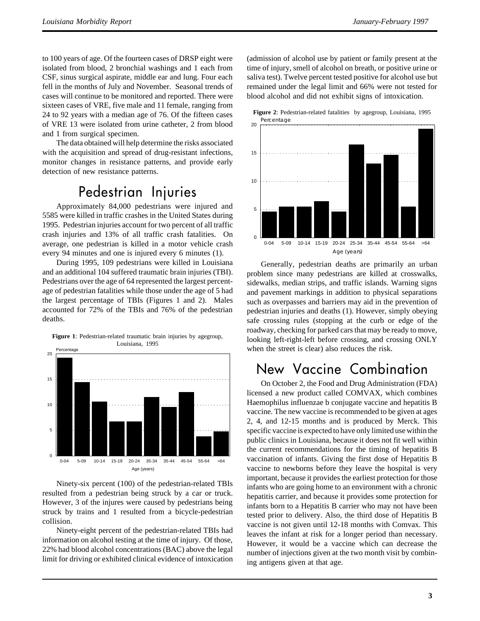to 100 years of age. Of the fourteen cases of DRSP eight were isolated from blood, 2 bronchial washings and 1 each from CSF, sinus surgical aspirate, middle ear and lung. Four each fell in the months of July and November. Seasonal trends of cases will continue to be monitored and reported. There were sixteen cases of VRE, five male and 11 female, ranging from 24 to 92 years with a median age of 76. Of the fifteen cases of VRE 13 were isolated from urine catheter, 2 from blood and 1 from surgical specimen.

The data obtained will help determine the risks associated with the acquisition and spread of drug-resistant infections, monitor changes in resistance patterns, and provide early detection of new resistance patterns.

# Pedestrian Injuries

Approximately 84,000 pedestrians were injured and 5585 were killed in traffic crashes in the United States during 1995. Pedestrian injuries account for two percent of all traffic crash injuries and 13% of all traffic crash fatalities. On average, one pedestrian is killed in a motor vehicle crash every 94 minutes and one is injured every 6 minutes (1).

During 1995, 109 pedestrians were killed in Louisiana and an additional 104 suffered traumatic brain injuries (TBI). Pedestrians over the age of 64 represented the largest percentage of pedestrian fatalities while those under the age of 5 had the largest percentage of TBIs (Figures 1 and 2). Males accounted for 72% of the TBIs and 76% of the pedestrian deaths.



Ninety-six percent (100) of the pedestrian-related TBIs resulted from a pedestrian being struck by a car or truck. However, 3 of the injures were caused by pedestrians being struck by trains and 1 resulted from a bicycle-pedestrian collision.

Ninety-eight percent of the pedestrian-related TBIs had information on alcohol testing at the time of injury. Of those, 22% had blood alcohol concentrations (BAC) above the legal limit for driving or exhibited clinical evidence of intoxication (admission of alcohol use by patient or family present at the time of injury, smell of alcohol on breath, or positive urine or saliva test). Twelve percent tested positive for alcohol use but remained under the legal limit and 66% were not tested for blood alcohol and did not exhibit signs of intoxication.





Generally, pedestrian deaths are primarily an urban problem since many pedestrians are killed at crosswalks, sidewalks, median strips, and traffic islands. Warning signs and pavement markings in addition to physical separations such as overpasses and barriers may aid in the prevention of pedestrian injuries and deaths (1). However, simply obeying safe crossing rules (stopping at the curb or edge of the roadway, checking for parked cars that may be ready to move, looking left-right-left before crossing, and crossing ONLY when the street is clear) also reduces the risk.

# New Vaccine Combination

On October 2, the Food and Drug Administration (FDA) licensed a new product called COMVAX, which combines Haemophilus influenzae b conjugate vaccine and hepatitis B vaccine. The new vaccine is recommended to be given at ages 2, 4, and 12-15 months and is produced by Merck. This specific vaccine is expected to have only limited use within the public clinics in Louisiana, because it does not fit well within the current recommendations for the timing of hepatitis B vaccination of infants. Giving the first dose of Hepatitis B vaccine to newborns before they leave the hospital is very important, because it provides the earliest protection for those infants who are going home to an environment with a chronic hepatitis carrier, and because it provides some protection for infants born to a Hepatitis B carrier who may not have been tested prior to delivery. Also, the third dose of Hepatitis B vaccine is not given until 12-18 months with Comvax. This leaves the infant at risk for a longer period than necessary. However, it would be a vaccine which can decrease the number of injections given at the two month visit by combining antigens given at that age.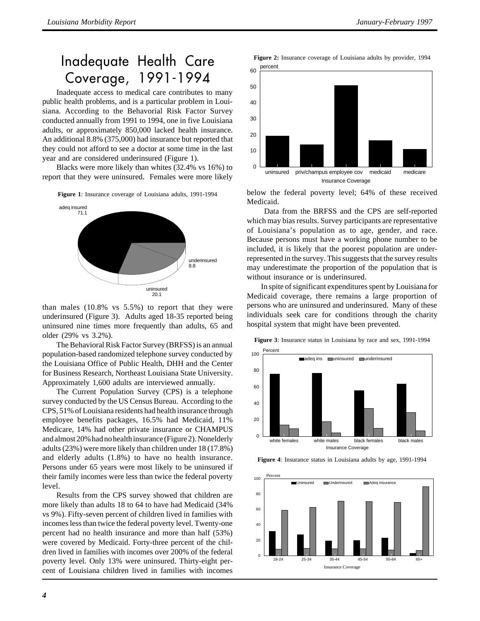# Inadequate Health Care Coverage, 1991-1994

Inadequate access to medical care contributes to many public health problems, and is a particular problem in Louisiana. According to the Behavorial Risk Factor Survey conducted annually from 1991 to 1994, one in five Louisiana adults, or approximately 850,000 lacked health insurance. An additional 8.8% (375,000) had insurance but reported that they could not afford to see a doctor at some time in the last year and are considered underinsured (Figure 1).

Blacks were more likely than whites (32.4% vs 16%) to report that they were uninsured. Females were more likely

**Figure 1**: Insurance coverage of Louisiana adults, 1991-1994



than males (10.8% vs 5.5%) to report that they were underinsured (Figure 3). Adults aged 18-35 reported being uninsured nine times more frequently than adults, 65 and older (29% vs 3.2%).

The Behavioral Risk Factor Survey (BRFSS) is an annual population-based randomized telephone survey conducted by the Louisiana Office of Public Health, DHH and the Center for Business Research, Northeast Louisiana State University. Approximately 1,600 adults are interviewed annually.

The Current Population Survey (CPS) is a telephone survey conducted by the US Census Bureau. According to the CPS, 51% of Louisiana residents had health insurance through employee benefits packages, 16.5% had Medicaid, 11% Medicare, 14% had other private insurance or CHAMPUS and almost 20% had no health insurance (Figure 2). Nonelderly adults (23%) were more likely than children under 18 (17.8%) and elderly adults (1.8%) to have no health insurance. Persons under 65 years were most likely to be uninsured if their family incomes were less than twice the federal poverty level.

Results from the CPS survey showed that children are more likely than adults 18 to 64 to have had Medicaid (34% vs 9%). Fifty-seven percent of children lived in families with incomes less than twice the federal poverty level. Twenty-one percent had no health insurance and more than half (53%) were covered by Medicaid. Forty-three percent of the children lived in families with incomes over 200% of the federal poverty level. Only 13% were uninsured. Thirty-eight percent of Louisiana children lived in families with incomes



below the federal poverty level; 64% of these received Medicaid.

 Data from the BRFSS and the CPS are self-reported which may bias results. Survey participants are representative of Louisiana's population as to age, gender, and race. Because persons must have a working phone number to be included, it is likely that the poorest population are underrepresented in the survey. This suggests that the survey results may underestimate the proportion of the population that is without insurance or is underinsured.

In spite of significant expenditures spent by Louisiana for Medicaid coverage, there remains a large proportion of persons who are uninsured and underinsured. Many of these individuals seek care for conditions through the charity hospital system that might have been prevented.

**Figure 3**: Insurance status in Louisiana by race and sex, 1991-1994



**Figure 4**: Insurance status in Louisiana adults by age, 1991-1994

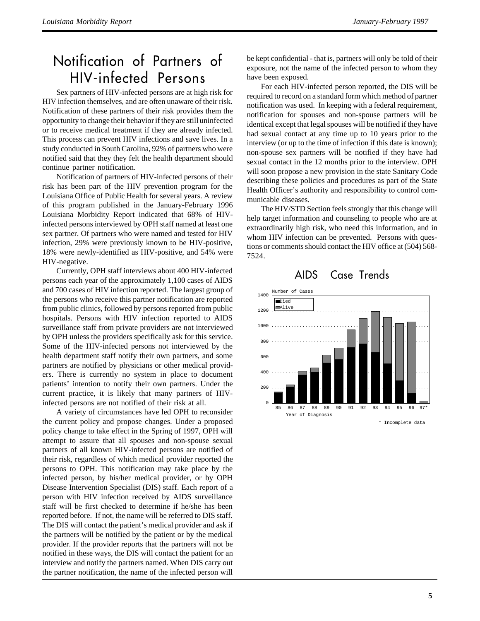# Notification of Partners of HIV-infected Persons

Sex partners of HIV-infected persons are at high risk for HIV infection themselves, and are often unaware of their risk. Notification of these partners of their risk provides them the opportunity to change their behavior if they are still uninfected or to receive medical treatment if they are already infected. This process can prevent HIV infections and save lives. In a study conducted in South Carolina, 92% of partners who were notified said that they they felt the health department should continue partner notification.

Notification of partners of HIV-infected persons of their risk has been part of the HIV prevention program for the Louisiana Office of Public Health for several years. A review of this program published in the January-February 1996 Louisiana Morbidity Report indicated that 68% of HIVinfected persons interviewed by OPH staff named at least one sex partner. Of partners who were named and tested for HIV infection, 29% were previously known to be HIV-positive, 18% were newly-identified as HIV-positive, and 54% were HIV-negative.

Currently, OPH staff interviews about 400 HIV-infected persons each year of the approximately 1,100 cases of AIDS and 700 cases of HIV infection reported. The largest group of the persons who receive this partner notification are reported from public clinics, followed by persons reported from public hospitals. Persons with HIV infection reported to AIDS surveillance staff from private providers are not interviewed by OPH unless the providers specifically ask for this service. Some of the HIV-infected persons not interviewed by the health department staff notify their own partners, and some partners are notified by physicians or other medical providers. There is currently no system in place to document patients' intention to notify their own partners. Under the current practice, it is likely that many partners of HIVinfected persons are not notified of their risk at all.

A variety of circumstances have led OPH to reconsider the current policy and propose changes. Under a proposed policy change to take effect in the Spring of 1997, OPH will attempt to assure that all spouses and non-spouse sexual partners of all known HIV-infected persons are notified of their risk, regardless of which medical provider reported the persons to OPH. This notification may take place by the infected person, by his/her medical provider, or by OPH Disease Intervention Specialist (DIS) staff. Each report of a person with HIV infection received by AIDS surveillance staff will be first checked to determine if he/she has been reported before. If not, the name will be referred to DIS staff. The DIS will contact the patient's medical provider and ask if the partners will be notified by the patient or by the medical provider. If the provider reports that the partners will not be notified in these ways, the DIS will contact the patient for an interview and notify the partners named. When DIS carry out the partner notification, the name of the infected person will be kept confidential - that is, partners will only be told of their exposure, not the name of the infected person to whom they have been exposed.

For each HIV-infected person reported, the DIS will be required to record on a standard form which method of partner notification was used. In keeping with a federal requirement, notification for spouses and non-spouse partners will be identical except that legal spouses will be notified if they have had sexual contact at any time up to 10 years prior to the interview (or up to the time of infection if this date is known); non-spouse sex partners will be notified if they have had sexual contact in the 12 months prior to the interview. OPH will soon propose a new provision in the state Sanitary Code describing these policies and procedures as part of the State Health Officer's authority and responsibility to control communicable diseases.

The HIV/STD Section feels strongly that this change will help target information and counseling to people who are at extraordinarily high risk, who need this information, and in whom HIV infection can be prevented. Persons with questions or comments should contact the HIV office at (504) 568- 7524.





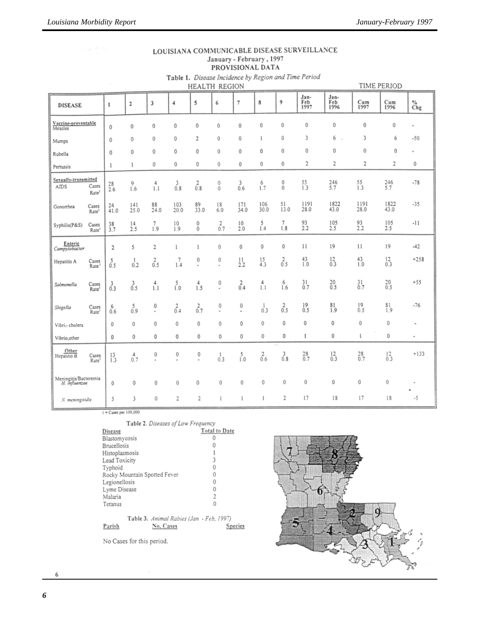| <sub>.</sub><br>.<br>PROVISIONAL DATA                                                       |                            |                                                                                      |                         |                     |                  |              |                  |                  |                 |               |                     |                     |               |                  |          |
|---------------------------------------------------------------------------------------------|----------------------------|--------------------------------------------------------------------------------------|-------------------------|---------------------|------------------|--------------|------------------|------------------|-----------------|---------------|---------------------|---------------------|---------------|------------------|----------|
|                                                                                             |                            | Table 1. Disease Incidence by Region and Time Period<br>TIME PERIOD<br>HEALTH REGION |                         |                     |                  |              |                  |                  |                 |               |                     |                     |               |                  |          |
| <b>DISEASE</b>                                                                              |                            | $\mathbf 1$                                                                          | $\overline{\mathbf{2}}$ | 3                   | $\overline{4}$   | 5            | 6                | 7                | 8               | 9             | Jan-<br>Feb<br>1997 | Jan-<br>Feb<br>1996 | Cum<br>1997   | Cum<br>1996      | %<br>Chg |
| Vaccine-preventable<br>Measles                                                              |                            | 0                                                                                    | 0                       | 0                   | 0                | $\bf{0}$     | 0                | 0                | 0               | 0             | 0                   | 0                   | 0             | 0                |          |
| Mumps                                                                                       |                            | 0                                                                                    | 0                       | 0                   | 0                | 2            | 0                | 0                | 1               | 0             | 3                   | 6                   | 3             | 6                | $-50$    |
| Rubella                                                                                     |                            | 0                                                                                    | 0                       | 0                   | 0                | 0            | 0                | 0                | 0               | 0             | 0                   | 0                   | 0             | 0                | ٠        |
| Pertussis                                                                                   |                            | 1                                                                                    | 1                       | 0                   | 0                | 0            | 0                | 0                | 0               | 0             | 2                   | 2                   | 2             | 2                | 0        |
| Sexually-transmitted<br>AIDS                                                                | Cases<br>Rate <sup>1</sup> | 28<br>2.6                                                                            | 9<br>1.6                | 4<br>1.1            | $\frac{3}{0.8}$  | $^{2}_{0.8}$ | 0<br>$\mathbf 0$ | 3<br>0.6         | 6<br>1.7        | $_{0}^{0}$    | $^{55}_{1.3}$       | $^{246}_{5.7}$      | $^{55}_{1.3}$ | 246<br>5.7       | $-78$    |
| Gonorrhea                                                                                   | Cases<br>Rate <sup>1</sup> | 24<br>41.0                                                                           | 141<br>25.0             | 88<br>24.0          | 103<br>20.0      | 89<br>33.0   | 18<br>6.0        | 171<br>34.0      | 106<br>30.0     | 51<br>13.0    | 1191<br>28.0        | 1822<br>43.0        | 1191<br>28.0  | 1822<br>43.0     | $-35$    |
| Syphilis(P&S)                                                                               | Cases<br>Rate <sup>1</sup> | 38<br>3.7                                                                            | $^{14}_{2.5}$           | $^{7}_{1.9}$        | 10<br>1.9        | $^0_0$       | $rac{2}{0.7}$    | 10<br>2.0        | 5<br>1.4        | 7<br>1.8      | $^{93}_{2.2}$       | 105<br>2.5          | 93<br>2.2     | 105<br>2.5       | -11      |
| Enteric<br>Campylobacter                                                                    |                            | 2                                                                                    | 5                       | 2                   | 1                | 1            | 0                | 0                | 0               | 0             | 11                  | 19                  | 11            | 19               | $-42$    |
| Hepatitis A                                                                                 | Cases<br>Rate <sup>®</sup> | 5<br>0.5                                                                             | 1<br>0.2                | $\frac{2}{0.5}$     | 7<br>1.4         | 0<br>٠       | 0<br>٠           | $^{11}_{2.2}$    | $^{15}_{4.3}$   | $rac{2}{0.5}$ | $^{43}_{1.0}$       | $^{12}_{0.3}$       | $^{43}_{1.0}$ | $^{12}_{0.3}$    | $+258$   |
| Salmonella                                                                                  | Cases<br>Rate              | 3<br>0.3                                                                             | $\int_{0.5}^{3}$        | $^{4}_{1.1}$        | $\int_{1.0}^{5}$ | $^{4}_{1.5}$ | 0                | $\int_{0.4}^{2}$ | $\frac{4}{1.1}$ | 6<br>1.6      | $^{31}_{0.7}$       | $^{20}_{0.5}$       | $^{31}_{0.7}$ | $^{20}_{0.5}$    | $+55$    |
| Shigella                                                                                    | Cases<br>Rate              | 6<br>0.6                                                                             | $^{5}_{0.9}$            | 0<br>٠              | $^{2}_{0.4}$     | $_{0.7}^{2}$ | 0<br>٠           | 0<br>٠           | $^{1}_{0.3}$    | $^{2}_{0.5}$  | $^{19}_{0.5}$       | $^{81}_{1.9}$       | 19<br>0.5     | $\frac{81}{1.9}$ | $-76$    |
| Vibrio cholera                                                                              |                            | 0                                                                                    | 0                       | 0                   | 0                | 0            | 0                | 0                | 0               | 0             | 0                   | 0                   | $\bf{0}$      | 0                | ٠        |
| Vibrio, other                                                                               |                            | 0                                                                                    | 0                       | 0                   | 0                | 0            | 0                | 0                | 0               | 0             | 1                   | 0                   | 1             | 0                | ٠        |
| Other<br>Hepatitis B                                                                        | Cases<br>Rate <sup>1</sup> | $^{13}_{1.3}$                                                                        | 4<br>0.7                | 0<br>$\blacksquare$ | 0<br>$\bar{a}$   | 0<br>٠       | $^{1}_{0.3}$     | $^{5}_{1.0}$     | $\frac{2}{0.6}$ | $^{3}_{0.8}$  | $^{28}_{0.7}$       | $^{12}_{0.3}$       | $^{28}_{0.7}$ | $^{12}_{0.3}$    | $+133$   |
| $\begin{array}{c} \text{Meningitis} \text{Bacteremia} \\ H. \ \text{influence} \end{array}$ |                            | 0                                                                                    | 0                       | 0                   | 0                | 0            | 0                | 0                | 0               | 0             | 0                   | 0                   | 0             | 0                | ٠        |
| N. meningitidis                                                                             |                            | 5                                                                                    | 3                       | 0                   | 2                | 2            | 1                | 1                | $\mathbf{1}$    | 2             | 17                  | 18                  | 17            | 18               | -5       |

LOUISIANA COMMUNICABLE DISEASE SURVEILLANCE January - February, 1997

1 = Cases per 100,000

|  |  | Table 2. Diseases of Low Frequency |
|--|--|------------------------------------|
|  |  |                                    |

| Disease                                  | Total to Date |  |  |  |  |
|------------------------------------------|---------------|--|--|--|--|
| Blastomycosis                            |               |  |  |  |  |
| Brucellosis                              |               |  |  |  |  |
| Histoplasmosis                           |               |  |  |  |  |
| Lead Toxicity                            |               |  |  |  |  |
| Typhoid                                  | 0             |  |  |  |  |
| Rocky Mountain Spotted Fever             | 0             |  |  |  |  |
| Legionellosis                            |               |  |  |  |  |
| Lyme Disease                             |               |  |  |  |  |
| Malaria                                  | 2             |  |  |  |  |
| Tetanus                                  | 0             |  |  |  |  |
|                                          |               |  |  |  |  |
| Table 3. Animal Rabies (Jan - Feb, 1997) |               |  |  |  |  |
| No. Cases<br>Parish                      | Species       |  |  |  |  |
| No Cases for this period.                |               |  |  |  |  |

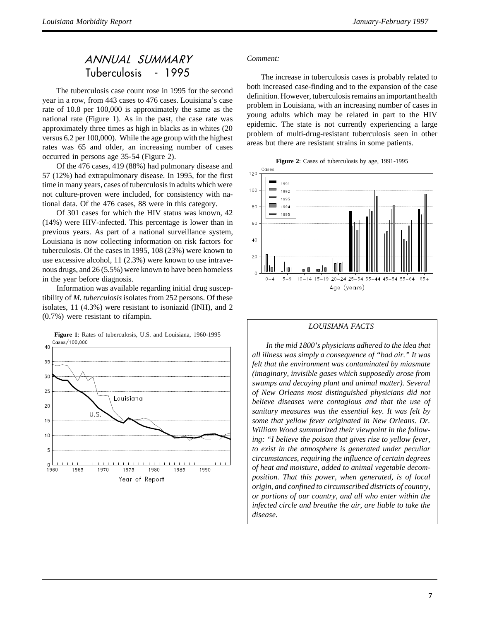### ANNUAL SUMMARY Tuberculosis - 1995

The tuberculosis case count rose in 1995 for the second year in a row, from 443 cases to 476 cases. Louisiana's case rate of 10.8 per 100,000 is approximately the same as the national rate (Figure 1). As in the past, the case rate was approximately three times as high in blacks as in whites (20 versus 6.2 per 100,000). While the age group with the highest rates was 65 and older, an increasing number of cases occurred in persons age 35-54 (Figure 2).

Of the 476 cases, 419 (88%) had pulmonary disease and 57 (12%) had extrapulmonary disease. In 1995, for the first time in many years, cases of tuberculosis in adults which were not culture-proven were included, for consistency with national data. Of the 476 cases, 88 were in this category.

Of 301 cases for which the HIV status was known, 42 (14%) were HIV-infected. This percentage is lower than in previous years. As part of a national surveillance system, Louisiana is now collecting information on risk factors for tuberculosis. Of the cases in 1995, 108 (23%) were known to use excessive alcohol, 11 (2.3%) were known to use intravenous drugs, and 26 (5.5%) were known to have been homeless in the year before diagnosis.

Information was available regarding initial drug susceptibility of *M. tuberculosis* isolates from 252 persons. Of these isolates, 11 (4.3%) were resistant to isoniazid (INH), and 2 (0.7%) were resistant to rifampin.



#### **Figure 1**: Rates of tuberculosis, U.S. and Louisiana, 1960-1995 Cases/100.000

### *Comment:*

The increase in tuberculosis cases is probably related to both increased case-finding and to the expansion of the case definition. However, tuberculosis remains an important health problem in Louisiana, with an increasing number of cases in young adults which may be related in part to the HIV epidemic. The state is not currently experiencing a large problem of multi-drug-resistant tuberculosis seen in other areas but there are resistant strains in some patients.





### *LOUISIANA FACTS*

*In the mid 1800's physicians adhered to the idea that all illness was simply a consequence of "bad air." It was felt that the environment was contaminated by miasmate (imaginary, invisible gases which supposedly arose from swamps and decaying plant and animal matter). Several of New Orleans most distinguished physicians did not believe diseases were contagious and that the use of sanitary measures was the essential key. It was felt by some that yellow fever originated in New Orleans. Dr. William Wood summarized their viewpoint in the following: "I believe the poison that gives rise to yellow fever, to exist in the atmosphere is generated under peculiar circumstances, requiring the influence of certain degrees of heat and moisture, added to animal vegetable decomposition. That this power, when generated, is of local origin, and confined to circumscribed districts of country, or portions of our country, and all who enter within the infected circle and breathe the air, are liable to take the disease.*